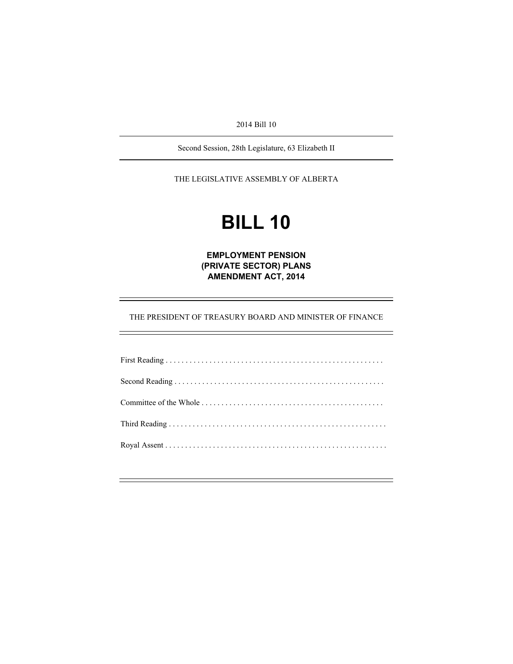2014 Bill 10

Second Session, 28th Legislature, 63 Elizabeth II

THE LEGISLATIVE ASSEMBLY OF ALBERTA

# **BILL 10**

**EMPLOYMENT PENSION (PRIVATE SECTOR) PLANS AMENDMENT ACT, 2014** 

THE PRESIDENT OF TREASURY BOARD AND MINISTER OF FINANCE

÷,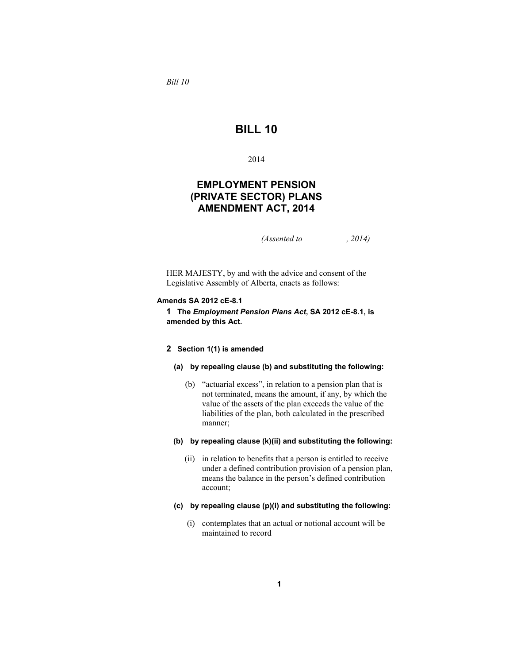*Bill 10* 

# **BILL 10**

2014

# **EMPLOYMENT PENSION (PRIVATE SECTOR) PLANS AMENDMENT ACT, 2014**

*(Assented to , 2014)* 

HER MAJESTY, by and with the advice and consent of the Legislative Assembly of Alberta, enacts as follows:

#### **Amends SA 2012 cE-8.1**

**1 The** *Employment Pension Plans Act***, SA 2012 cE-8.1, is amended by this Act.**

#### **2 Section 1(1) is amended**

#### **(a) by repealing clause (b) and substituting the following:**

 (b) "actuarial excess", in relation to a pension plan that is not terminated, means the amount, if any, by which the value of the assets of the plan exceeds the value of the liabilities of the plan, both calculated in the prescribed manner;

#### **(b) by repealing clause (k)(ii) and substituting the following:**

- (ii) in relation to benefits that a person is entitled to receive under a defined contribution provision of a pension plan, means the balance in the person's defined contribution account;
- **(c) by repealing clause (p)(i) and substituting the following:**
	- (i) contemplates that an actual or notional account will be maintained to record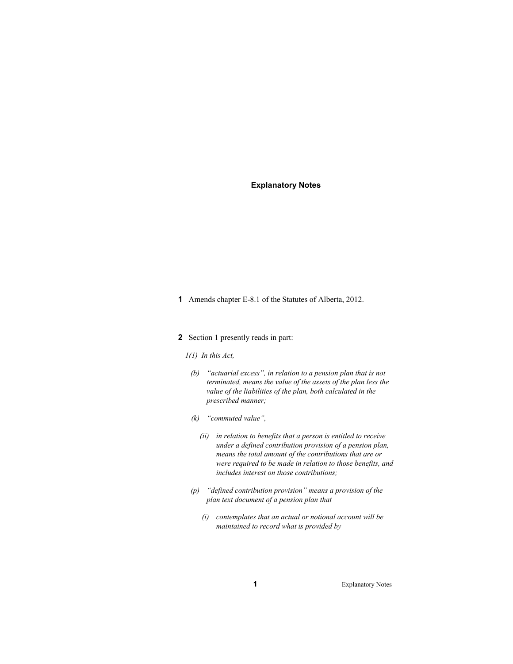# **Explanatory Notes**

**1** Amends chapter E-8.1 of the Statutes of Alberta, 2012.

# **2** Section 1 presently reads in part:

- *1(1) In this Act,*
- *(b) "actuarial excess", in relation to a pension plan that is not terminated, means the value of the assets of the plan less the value of the liabilities of the plan, both calculated in the prescribed manner;*
- *(k) "commuted value",* 
	- *(ii) in relation to benefits that a person is entitled to receive under a defined contribution provision of a pension plan, means the total amount of the contributions that are or were required to be made in relation to those benefits, and includes interest on those contributions;*
- *(p) "defined contribution provision" means a provision of the plan text document of a pension plan that* 
	- *(i) contemplates that an actual or notional account will be maintained to record what is provided by*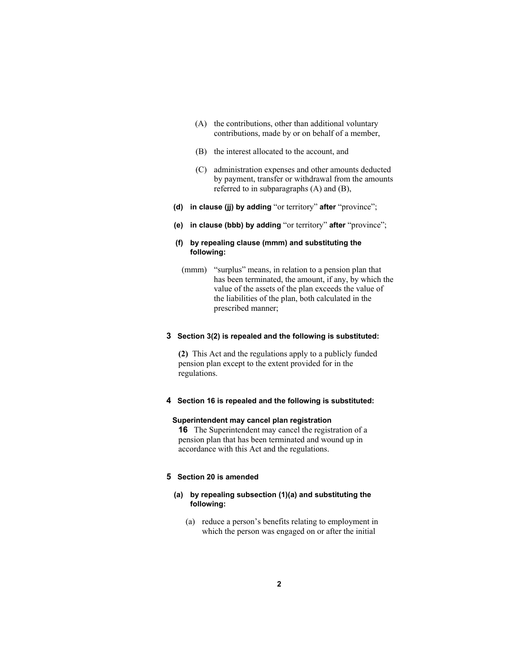- (A) the contributions, other than additional voluntary contributions, made by or on behalf of a member,
- (B) the interest allocated to the account, and
- (C) administration expenses and other amounts deducted by payment, transfer or withdrawal from the amounts referred to in subparagraphs (A) and (B),
- **(d) in clause (jj) by adding** "or territory" **after** "province";
- **(e) in clause (bbb) by adding** "or territory" **after** "province";

# **(f) by repealing clause (mmm) and substituting the following:**

 (mmm) "surplus" means, in relation to a pension plan that has been terminated, the amount, if any, by which the value of the assets of the plan exceeds the value of the liabilities of the plan, both calculated in the prescribed manner;

# **3 Section 3(2) is repealed and the following is substituted:**

**(2)** This Act and the regulations apply to a publicly funded pension plan except to the extent provided for in the regulations.

# **4 Section 16 is repealed and the following is substituted:**

# **Superintendent may cancel plan registration**

**16** The Superintendent may cancel the registration of a pension plan that has been terminated and wound up in accordance with this Act and the regulations.

## **5 Section 20 is amended**

# **(a) by repealing subsection (1)(a) and substituting the following:**

 (a) reduce a person's benefits relating to employment in which the person was engaged on or after the initial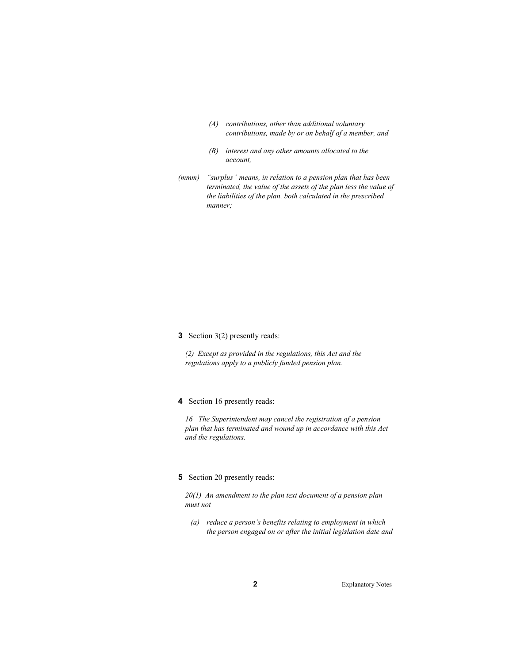- *(A) contributions, other than additional voluntary contributions, made by or on behalf of a member, and*
- *(B) interest and any other amounts allocated to the account,*
- *(mmm) "surplus" means, in relation to a pension plan that has been terminated, the value of the assets of the plan less the value of the liabilities of the plan, both calculated in the prescribed manner;*

**3** Section 3(2) presently reads:

*(2) Except as provided in the regulations, this Act and the regulations apply to a publicly funded pension plan.* 

# **4** Section 16 presently reads:

*16 The Superintendent may cancel the registration of a pension plan that has terminated and wound up in accordance with this Act and the regulations.* 

# **5** Section 20 presently reads:

*20(1) An amendment to the plan text document of a pension plan must not* 

 *(a) reduce a person's benefits relating to employment in which the person engaged on or after the initial legislation date and*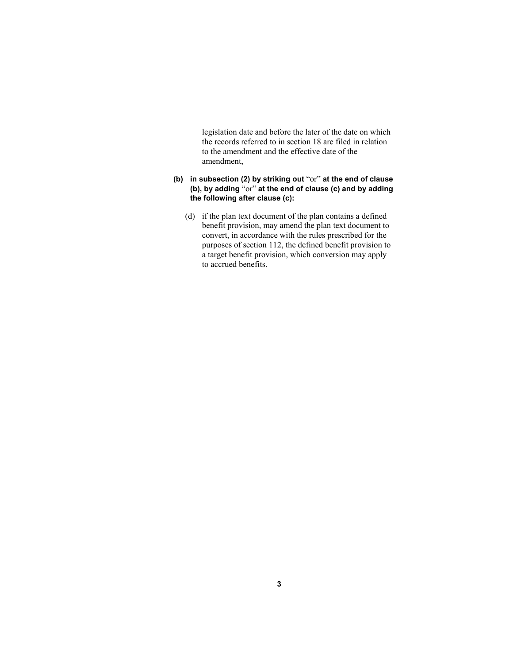legislation date and before the later of the date on which the records referred to in section 18 are filed in relation to the amendment and the effective date of the amendment,

- **(b) in subsection (2) by striking out** "or" **at the end of clause (b), by adding** "or" **at the end of clause (c) and by adding the following after clause (c):**
	- (d) if the plan text document of the plan contains a defined benefit provision, may amend the plan text document to convert, in accordance with the rules prescribed for the purposes of section 112, the defined benefit provision to a target benefit provision, which conversion may apply to accrued benefits.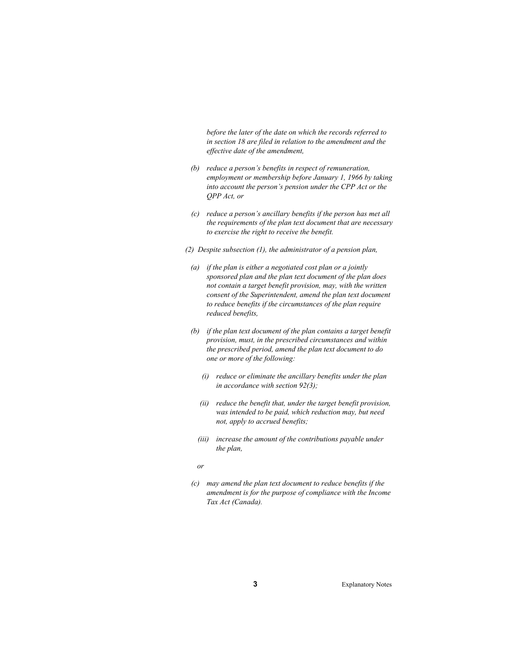*before the later of the date on which the records referred to in section 18 are filed in relation to the amendment and the effective date of the amendment,* 

- *(b) reduce a person's benefits in respect of remuneration, employment or membership before January 1, 1966 by taking into account the person's pension under the CPP Act or the QPP Act, or*
- *(c) reduce a person's ancillary benefits if the person has met all the requirements of the plan text document that are necessary to exercise the right to receive the benefit.*
- *(2) Despite subsection (1), the administrator of a pension plan,* 
	- *(a) if the plan is either a negotiated cost plan or a jointly sponsored plan and the plan text document of the plan does not contain a target benefit provision, may, with the written consent of the Superintendent, amend the plan text document to reduce benefits if the circumstances of the plan require reduced benefits,*
	- *(b) if the plan text document of the plan contains a target benefit provision, must, in the prescribed circumstances and within the prescribed period, amend the plan text document to do one or more of the following:* 
		- *(i) reduce or eliminate the ancillary benefits under the plan in accordance with section 92(3);*
		- *(ii) reduce the benefit that, under the target benefit provision, was intended to be paid, which reduction may, but need not, apply to accrued benefits;*
		- *(iii) increase the amount of the contributions payable under the plan,*

 *or* 

 *(c) may amend the plan text document to reduce benefits if the amendment is for the purpose of compliance with the Income Tax Act (Canada).*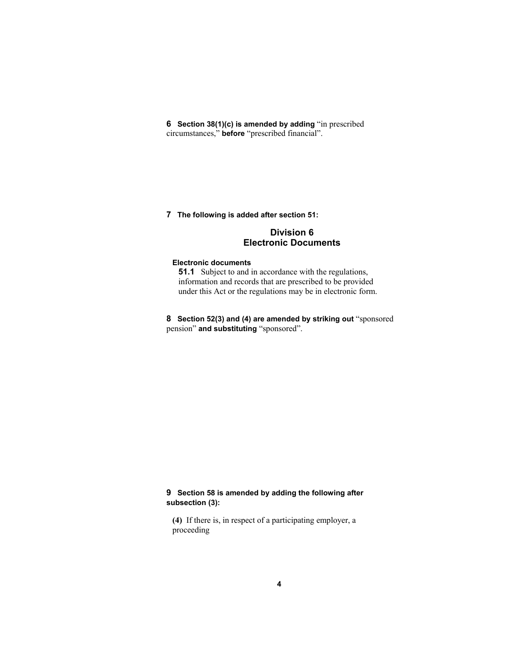**6 Section 38(1)(c) is amended by adding** "in prescribed circumstances," **before** "prescribed financial".

**7 The following is added after section 51:** 

# **Division 6 Electronic Documents**

# **Electronic documents**

**51.1** Subject to and in accordance with the regulations, information and records that are prescribed to be provided under this Act or the regulations may be in electronic form.

**8 Section 52(3) and (4) are amended by striking out** "sponsored pension" **and substituting** "sponsored".

# **9 Section 58 is amended by adding the following after subsection (3):**

**(4)** If there is, in respect of a participating employer, a proceeding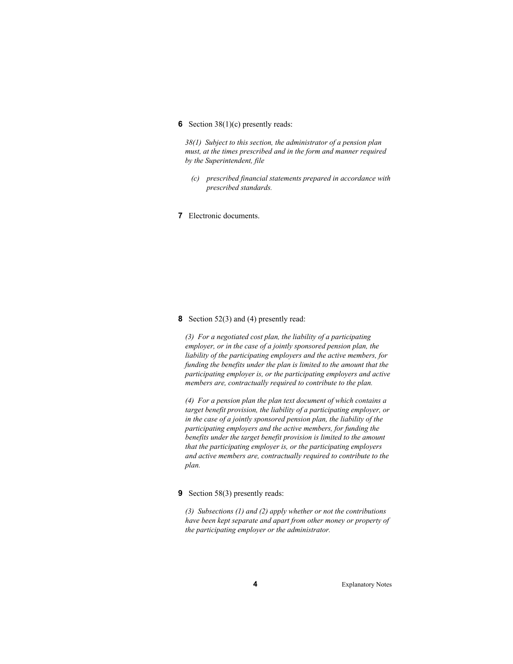# **6** Section 38(1)(c) presently reads:

*38(1) Subject to this section, the administrator of a pension plan must, at the times prescribed and in the form and manner required by the Superintendent, file* 

 *(c) prescribed financial statements prepared in accordance with prescribed standards.* 

**7** Electronic documents.

#### **8** Section 52(3) and (4) presently read:

*(3) For a negotiated cost plan, the liability of a participating employer, or in the case of a jointly sponsored pension plan, the liability of the participating employers and the active members, for funding the benefits under the plan is limited to the amount that the participating employer is, or the participating employers and active members are, contractually required to contribute to the plan.* 

*(4) For a pension plan the plan text document of which contains a target benefit provision, the liability of a participating employer, or in the case of a jointly sponsored pension plan, the liability of the participating employers and the active members, for funding the benefits under the target benefit provision is limited to the amount that the participating employer is, or the participating employers and active members are, contractually required to contribute to the plan.* 

#### **9** Section 58(3) presently reads:

*(3) Subsections (1) and (2) apply whether or not the contributions have been kept separate and apart from other money or property of the participating employer or the administrator.*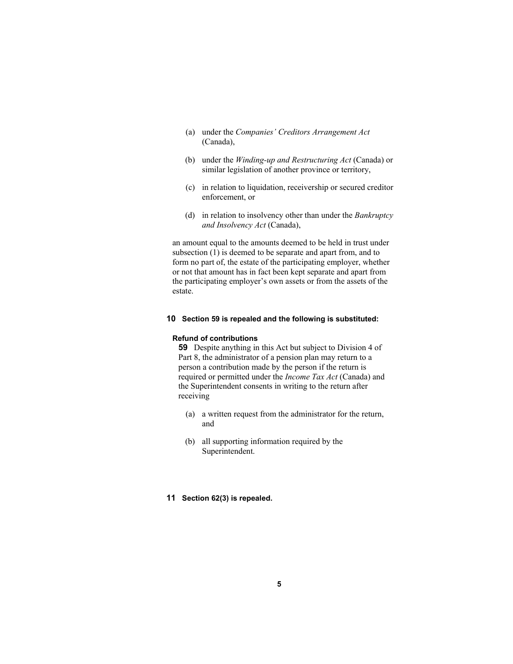- (a) under the *Companies' Creditors Arrangement Act* (Canada),
- (b) under the *Winding-up and Restructuring Act* (Canada) or similar legislation of another province or territory,
- (c) in relation to liquidation, receivership or secured creditor enforcement, or
- (d) in relation to insolvency other than under the *Bankruptcy and Insolvency Act* (Canada),

an amount equal to the amounts deemed to be held in trust under subsection (1) is deemed to be separate and apart from, and to form no part of, the estate of the participating employer, whether or not that amount has in fact been kept separate and apart from the participating employer's own assets or from the assets of the estate.

#### **10 Section 59 is repealed and the following is substituted:**

#### **Refund of contributions**

**59** Despite anything in this Act but subject to Division 4 of Part 8, the administrator of a pension plan may return to a person a contribution made by the person if the return is required or permitted under the *Income Tax Act* (Canada) and the Superintendent consents in writing to the return after receiving

- (a) a written request from the administrator for the return, and
- (b) all supporting information required by the Superintendent.

# **11 Section 62(3) is repealed.**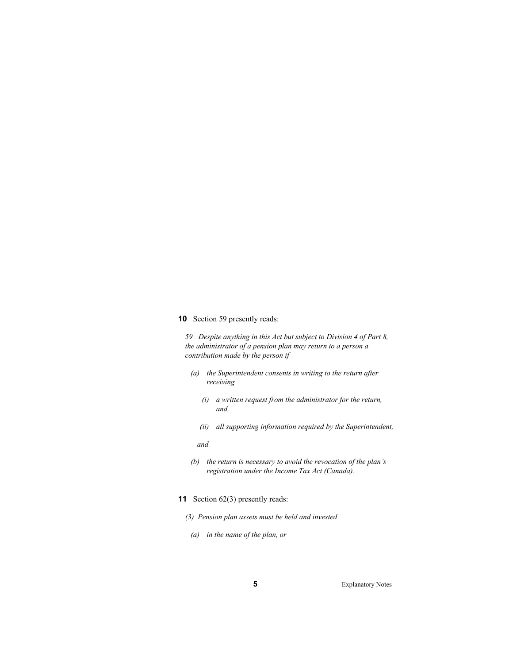**10** Section 59 presently reads:

*59 Despite anything in this Act but subject to Division 4 of Part 8, the administrator of a pension plan may return to a person a contribution made by the person if* 

- *(a) the Superintendent consents in writing to the return after receiving* 
	- *(i) a written request from the administrator for the return, and*
	- *(ii) all supporting information required by the Superintendent,*

 *and* 

- *(b) the return is necessary to avoid the revocation of the plan's registration under the Income Tax Act (Canada).*
- **11** Section 62(3) presently reads:
	- *(3) Pension plan assets must be held and invested* 
		- *(a) in the name of the plan, or*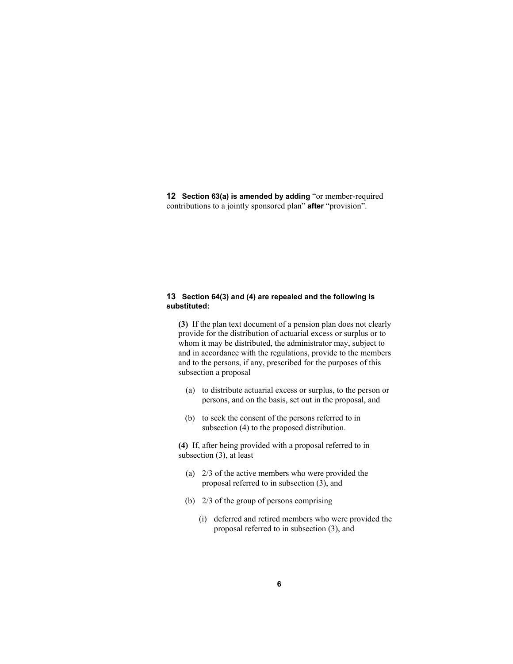**12 Section 63(a) is amended by adding** "or member-required contributions to a jointly sponsored plan" **after** "provision".

# **13 Section 64(3) and (4) are repealed and the following is substituted:**

**(3)** If the plan text document of a pension plan does not clearly provide for the distribution of actuarial excess or surplus or to whom it may be distributed, the administrator may, subject to and in accordance with the regulations, provide to the members and to the persons, if any, prescribed for the purposes of this subsection a proposal

- (a) to distribute actuarial excess or surplus, to the person or persons, and on the basis, set out in the proposal, and
- (b) to seek the consent of the persons referred to in subsection (4) to the proposed distribution.

**(4)** If, after being provided with a proposal referred to in subsection (3), at least

- (a) 2/3 of the active members who were provided the proposal referred to in subsection (3), and
- (b) 2/3 of the group of persons comprising
	- (i) deferred and retired members who were provided the proposal referred to in subsection (3), and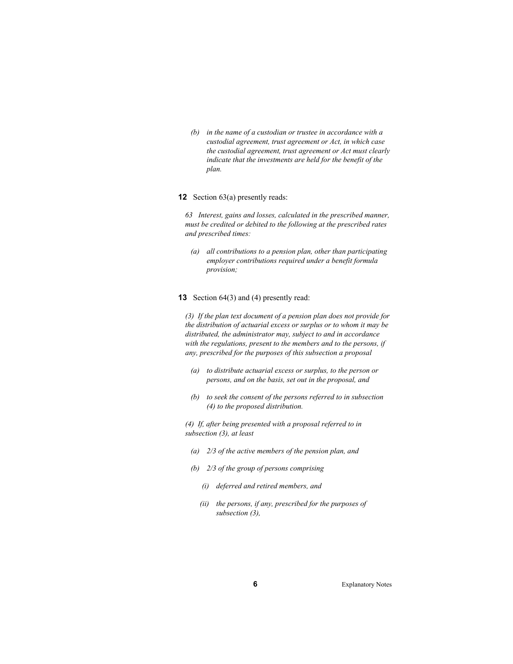*(b) in the name of a custodian or trustee in accordance with a custodial agreement, trust agreement or Act, in which case the custodial agreement, trust agreement or Act must clearly indicate that the investments are held for the benefit of the plan.* 

#### **12** Section 63(a) presently reads:

*63 Interest, gains and losses, calculated in the prescribed manner, must be credited or debited to the following at the prescribed rates and prescribed times:* 

 *(a) all contributions to a pension plan, other than participating employer contributions required under a benefit formula provision;* 

#### **13** Section 64(3) and (4) presently read:

*(3) If the plan text document of a pension plan does not provide for the distribution of actuarial excess or surplus or to whom it may be distributed, the administrator may, subject to and in accordance with the regulations, present to the members and to the persons, if any, prescribed for the purposes of this subsection a proposal* 

- *(a) to distribute actuarial excess or surplus, to the person or persons, and on the basis, set out in the proposal, and*
- *(b) to seek the consent of the persons referred to in subsection (4) to the proposed distribution.*

*(4) If, after being presented with a proposal referred to in subsection (3), at least* 

- *(a) 2/3 of the active members of the pension plan, and*
- *(b) 2/3 of the group of persons comprising* 
	- *(i) deferred and retired members, and*
	- *(ii) the persons, if any, prescribed for the purposes of subsection (3),*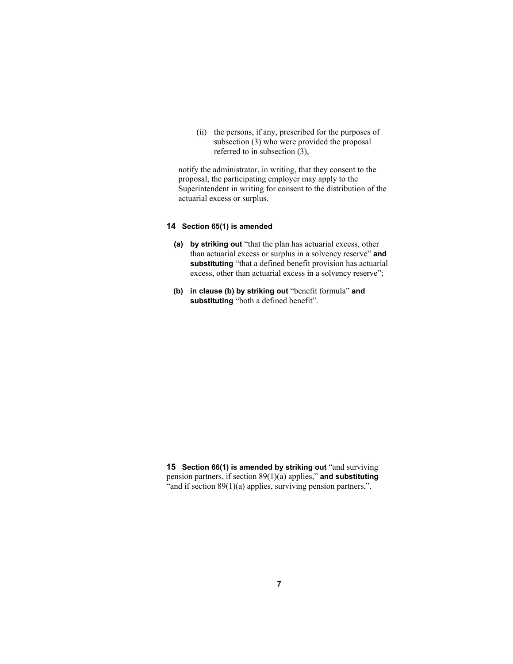(ii) the persons, if any, prescribed for the purposes of subsection (3) who were provided the proposal referred to in subsection (3),

notify the administrator, in writing, that they consent to the proposal, the participating employer may apply to the Superintendent in writing for consent to the distribution of the actuarial excess or surplus.

# **14 Section 65(1) is amended**

- **(a) by striking out** "that the plan has actuarial excess, other than actuarial excess or surplus in a solvency reserve" **and substituting** "that a defined benefit provision has actuarial excess, other than actuarial excess in a solvency reserve";
- **(b) in clause (b) by striking out** "benefit formula" **and substituting** "both a defined benefit".

**15 Section 66(1) is amended by striking out** "and surviving pension partners, if section 89(1)(a) applies," **and substituting** "and if section 89(1)(a) applies, surviving pension partners,".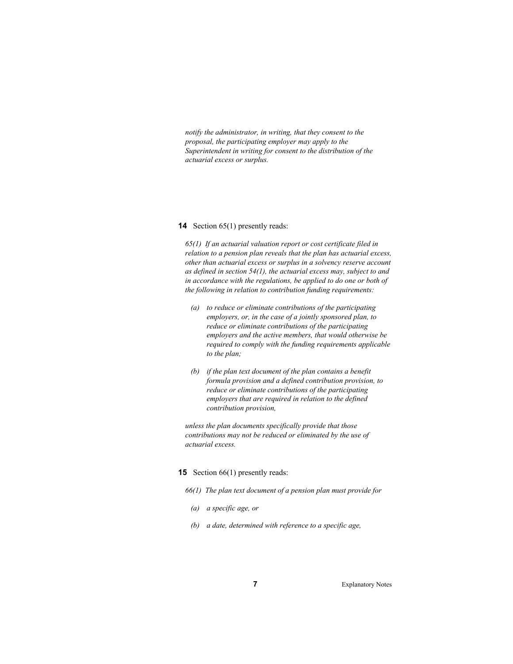*notify the administrator, in writing, that they consent to the proposal, the participating employer may apply to the Superintendent in writing for consent to the distribution of the actuarial excess or surplus.* 

#### **14** Section 65(1) presently reads:

*65(1) If an actuarial valuation report or cost certificate filed in relation to a pension plan reveals that the plan has actuarial excess, other than actuarial excess or surplus in a solvency reserve account as defined in section 54(1), the actuarial excess may, subject to and in accordance with the regulations, be applied to do one or both of the following in relation to contribution funding requirements:* 

- *(a) to reduce or eliminate contributions of the participating employers, or, in the case of a jointly sponsored plan, to reduce or eliminate contributions of the participating employers and the active members, that would otherwise be required to comply with the funding requirements applicable to the plan;*
- *(b) if the plan text document of the plan contains a benefit formula provision and a defined contribution provision, to reduce or eliminate contributions of the participating employers that are required in relation to the defined contribution provision,*

*unless the plan documents specifically provide that those contributions may not be reduced or eliminated by the use of actuarial excess.* 

#### **15** Section 66(1) presently reads:

- *66(1) The plan text document of a pension plan must provide for* 
	- *(a) a specific age, or*
	- *(b) a date, determined with reference to a specific age,*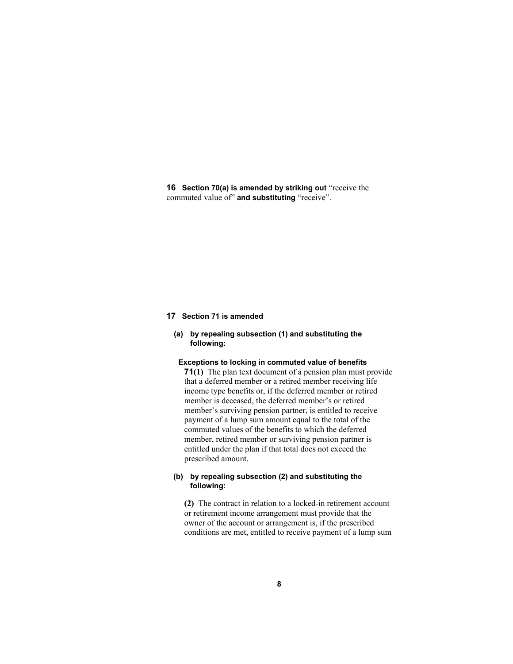**16 Section 70(a) is amended by striking out** "receive the commuted value of" **and substituting** "receive".

#### **17 Section 71 is amended**

# **(a) by repealing subsection (1) and substituting the following:**

# **Exceptions to locking in commuted value of benefits**

**71(1)** The plan text document of a pension plan must provide that a deferred member or a retired member receiving life income type benefits or, if the deferred member or retired member is deceased, the deferred member's or retired member's surviving pension partner, is entitled to receive payment of a lump sum amount equal to the total of the commuted values of the benefits to which the deferred member, retired member or surviving pension partner is entitled under the plan if that total does not exceed the prescribed amount.

# **(b) by repealing subsection (2) and substituting the following:**

**(2)** The contract in relation to a locked-in retirement account or retirement income arrangement must provide that the owner of the account or arrangement is, if the prescribed conditions are met, entitled to receive payment of a lump sum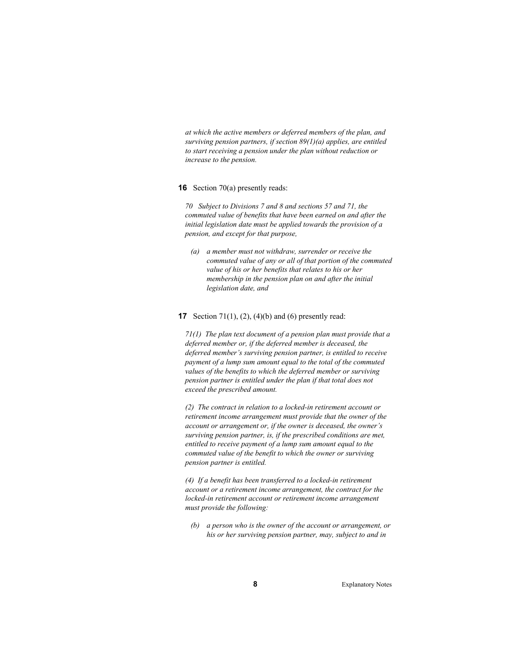*at which the active members or deferred members of the plan, and surviving pension partners, if section 89(1)(a) applies, are entitled to start receiving a pension under the plan without reduction or increase to the pension.* 

#### **16** Section 70(a) presently reads:

*70 Subject to Divisions 7 and 8 and sections 57 and 71, the commuted value of benefits that have been earned on and after the initial legislation date must be applied towards the provision of a pension, and except for that purpose,* 

 *(a) a member must not withdraw, surrender or receive the commuted value of any or all of that portion of the commuted value of his or her benefits that relates to his or her membership in the pension plan on and after the initial legislation date, and* 

#### **17** Section 71(1), (2), (4)(b) and (6) presently read:

*71(1) The plan text document of a pension plan must provide that a deferred member or, if the deferred member is deceased, the deferred member's surviving pension partner, is entitled to receive payment of a lump sum amount equal to the total of the commuted values of the benefits to which the deferred member or surviving pension partner is entitled under the plan if that total does not exceed the prescribed amount.* 

*(2) The contract in relation to a locked-in retirement account or retirement income arrangement must provide that the owner of the account or arrangement or, if the owner is deceased, the owner's surviving pension partner, is, if the prescribed conditions are met, entitled to receive payment of a lump sum amount equal to the commuted value of the benefit to which the owner or surviving pension partner is entitled.* 

*(4) If a benefit has been transferred to a locked-in retirement account or a retirement income arrangement, the contract for the locked-in retirement account or retirement income arrangement must provide the following:* 

 *(b) a person who is the owner of the account or arrangement, or his or her surviving pension partner, may, subject to and in*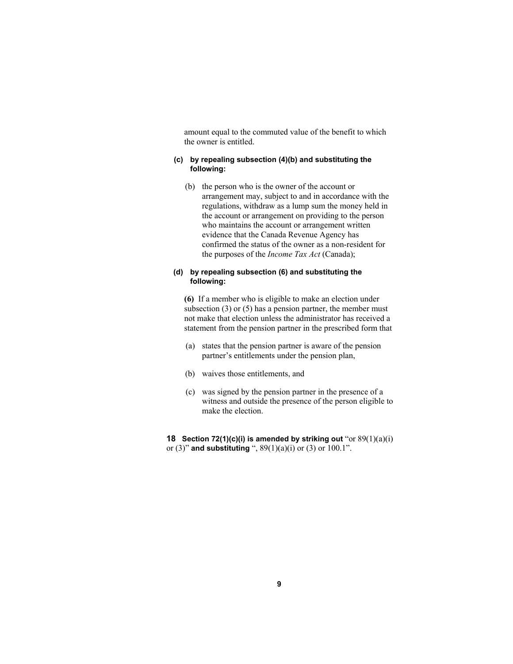amount equal to the commuted value of the benefit to which the owner is entitled.

# **(c) by repealing subsection (4)(b) and substituting the following:**

 (b) the person who is the owner of the account or arrangement may, subject to and in accordance with the regulations, withdraw as a lump sum the money held in the account or arrangement on providing to the person who maintains the account or arrangement written evidence that the Canada Revenue Agency has confirmed the status of the owner as a non-resident for the purposes of the *Income Tax Act* (Canada);

# **(d) by repealing subsection (6) and substituting the following:**

**(6)** If a member who is eligible to make an election under subsection (3) or (5) has a pension partner, the member must not make that election unless the administrator has received a statement from the pension partner in the prescribed form that

- (a) states that the pension partner is aware of the pension partner's entitlements under the pension plan,
- (b) waives those entitlements, and
- (c) was signed by the pension partner in the presence of a witness and outside the presence of the person eligible to make the election.

**18 Section 72(1)(c)(i) is amended by striking out** "or  $89(1)(a)(i)$ or (3)" **and substituting** ", 89(1)(a)(i) or (3) or 100.1".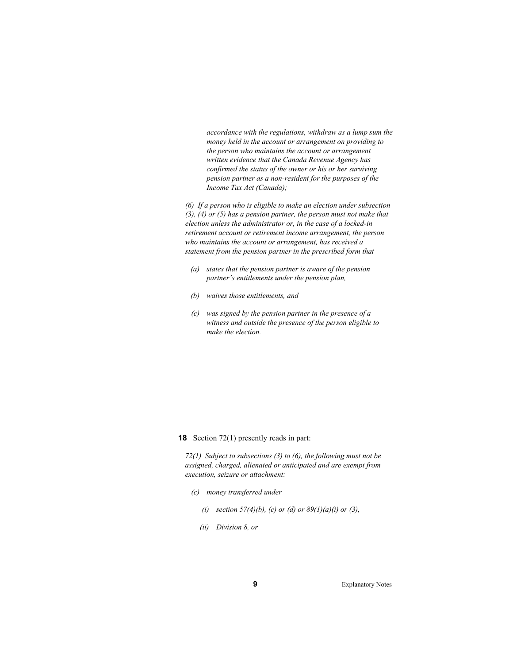*accordance with the regulations, withdraw as a lump sum the money held in the account or arrangement on providing to the person who maintains the account or arrangement written evidence that the Canada Revenue Agency has confirmed the status of the owner or his or her surviving pension partner as a non-resident for the purposes of the Income Tax Act (Canada);* 

*(6) If a person who is eligible to make an election under subsection (3), (4) or (5) has a pension partner, the person must not make that election unless the administrator or, in the case of a locked-in retirement account or retirement income arrangement, the person who maintains the account or arrangement, has received a statement from the pension partner in the prescribed form that* 

- *(a) states that the pension partner is aware of the pension partner's entitlements under the pension plan,*
- *(b) waives those entitlements, and*
- *(c) was signed by the pension partner in the presence of a witness and outside the presence of the person eligible to make the election.*

**18** Section 72(1) presently reads in part:

*72(1) Subject to subsections (3) to (6), the following must not be assigned, charged, alienated or anticipated and are exempt from execution, seizure or attachment:* 

- *(c) money transferred under* 
	- *(i)* section 57(4)(b), (c) or (d) or  $89(1)(a)(i)$  or (3),
	- *(ii) Division 8, or*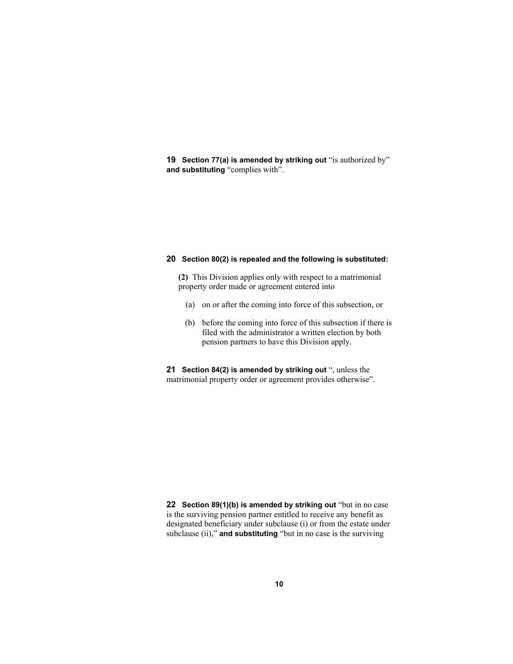**19 Section 77(a) is amended by striking out** "is authorized by" **and substituting** "complies with".

## **20 Section 80(2) is repealed and the following is substituted:**

**(2)** This Division applies only with respect to a matrimonial property order made or agreement entered into

- (a) on or after the coming into force of this subsection, or
- (b) before the coming into force of this subsection if there is filed with the administrator a written election by both pension partners to have this Division apply.

**21 Section 84(2) is amended by striking out** ", unless the matrimonial property order or agreement provides otherwise".

**22 Section 89(1)(b) is amended by striking out** "but in no case is the surviving pension partner entitled to receive any benefit as designated beneficiary under subclause (i) or from the estate under subclause (ii)," **and substituting** "but in no case is the surviving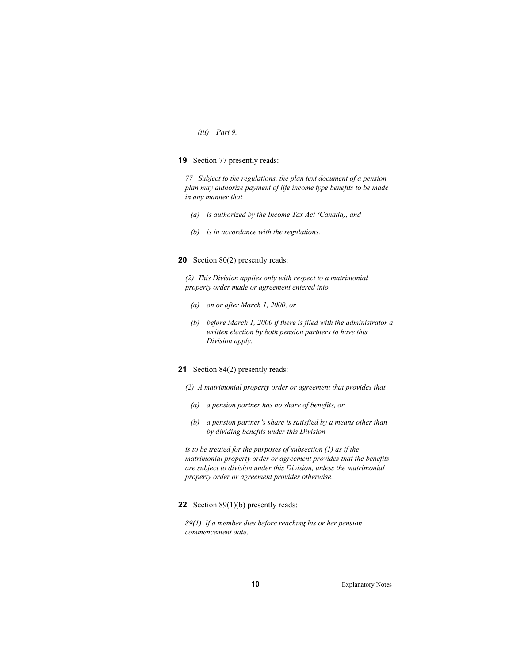#### *(iii) Part 9.*

#### **19** Section 77 presently reads:

*77 Subject to the regulations, the plan text document of a pension plan may authorize payment of life income type benefits to be made in any manner that* 

- *(a) is authorized by the Income Tax Act (Canada), and*
- *(b) is in accordance with the regulations.*

# **20** Section 80(2) presently reads:

*(2) This Division applies only with respect to a matrimonial property order made or agreement entered into* 

- *(a) on or after March 1, 2000, or*
- *(b) before March 1, 2000 if there is filed with the administrator a written election by both pension partners to have this Division apply.*

# **21** Section 84(2) presently reads:

- *(2) A matrimonial property order or agreement that provides that* 
	- *(a) a pension partner has no share of benefits, or*
	- *(b) a pension partner's share is satisfied by a means other than by dividing benefits under this Division*

*is to be treated for the purposes of subsection (1) as if the matrimonial property order or agreement provides that the benefits are subject to division under this Division, unless the matrimonial property order or agreement provides otherwise.* 

#### **22** Section 89(1)(b) presently reads:

*89(1) If a member dies before reaching his or her pension commencement date,*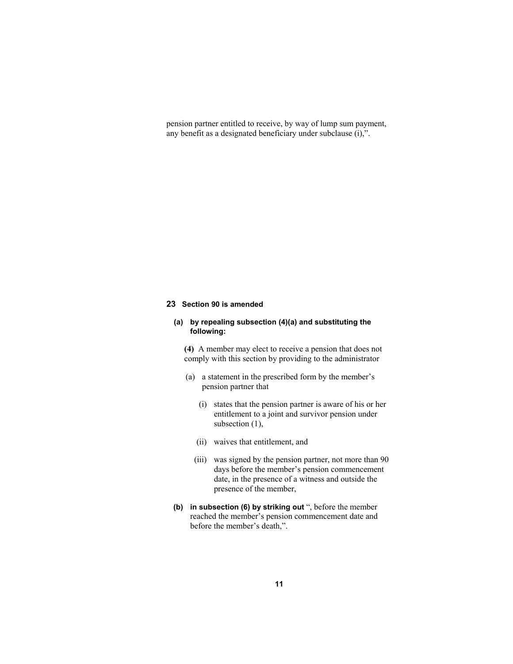pension partner entitled to receive, by way of lump sum payment, any benefit as a designated beneficiary under subclause (i),".

# **23 Section 90 is amended**

# **(a) by repealing subsection (4)(a) and substituting the following:**

**(4)** A member may elect to receive a pension that does not comply with this section by providing to the administrator

- (a) a statement in the prescribed form by the member's pension partner that
	- (i) states that the pension partner is aware of his or her entitlement to a joint and survivor pension under subsection  $(1)$ ,
	- (ii) waives that entitlement, and
	- (iii) was signed by the pension partner, not more than 90 days before the member's pension commencement date, in the presence of a witness and outside the presence of the member,
- **(b) in subsection (6) by striking out** ", before the member reached the member's pension commencement date and before the member's death,".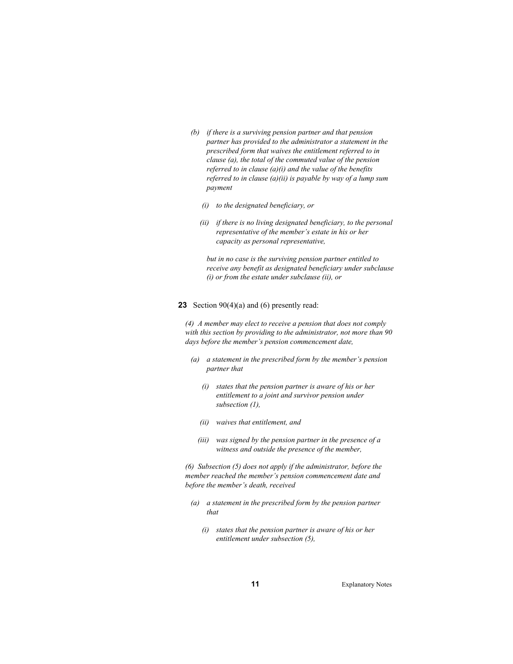- *(b) if there is a surviving pension partner and that pension partner has provided to the administrator a statement in the prescribed form that waives the entitlement referred to in clause (a), the total of the commuted value of the pension referred to in clause (a)(i) and the value of the benefits referred to in clause (a)(ii) is payable by way of a lump sum payment* 
	- *(i) to the designated beneficiary, or*
	- *(ii) if there is no living designated beneficiary, to the personal representative of the member's estate in his or her capacity as personal representative,*

 *but in no case is the surviving pension partner entitled to receive any benefit as designated beneficiary under subclause (i) or from the estate under subclause (ii), or* 

#### **23** Section 90(4)(a) and (6) presently read:

*(4) A member may elect to receive a pension that does not comply with this section by providing to the administrator, not more than 90 days before the member's pension commencement date,* 

- *(a) a statement in the prescribed form by the member's pension partner that* 
	- *(i) states that the pension partner is aware of his or her entitlement to a joint and survivor pension under subsection (1),*
	- *(ii) waives that entitlement, and*
	- *(iii) was signed by the pension partner in the presence of a witness and outside the presence of the member,*

*(6) Subsection (5) does not apply if the administrator, before the member reached the member's pension commencement date and before the member's death, received* 

- *(a) a statement in the prescribed form by the pension partner that* 
	- *(i) states that the pension partner is aware of his or her entitlement under subsection (5),*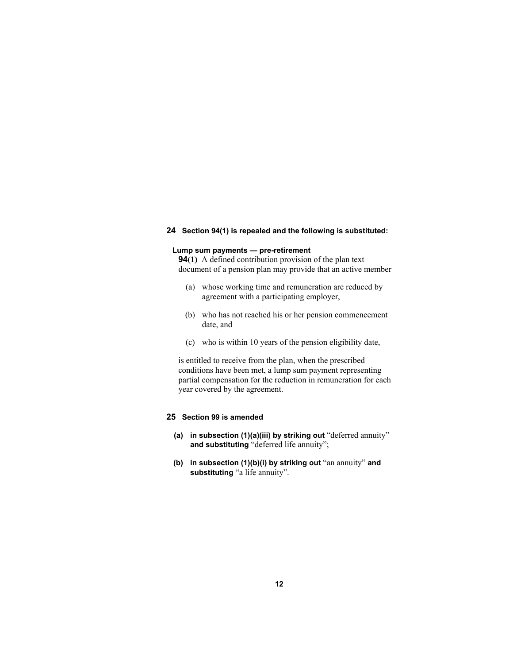# **24 Section 94(1) is repealed and the following is substituted:**

# **Lump sum payments — pre-retirement**

**94(1)** A defined contribution provision of the plan text document of a pension plan may provide that an active member

- (a) whose working time and remuneration are reduced by agreement with a participating employer,
- (b) who has not reached his or her pension commencement date, and
- (c) who is within 10 years of the pension eligibility date,

is entitled to receive from the plan, when the prescribed conditions have been met, a lump sum payment representing partial compensation for the reduction in remuneration for each year covered by the agreement.

# **25 Section 99 is amended**

- **(a) in subsection (1)(a)(iii) by striking out** "deferred annuity" **and substituting** "deferred life annuity";
- **(b) in subsection (1)(b)(i) by striking out** "an annuity" **and substituting** "a life annuity".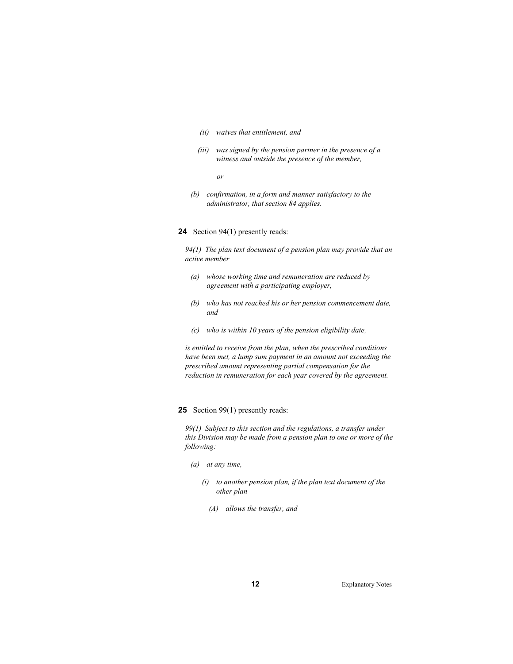#### *(ii) waives that entitlement, and*

 *(iii) was signed by the pension partner in the presence of a witness and outside the presence of the member,* 

 *or* 

 *(b) confirmation, in a form and manner satisfactory to the administrator, that section 84 applies.* 

#### **24** Section 94(1) presently reads:

*94(1) The plan text document of a pension plan may provide that an active member* 

- *(a) whose working time and remuneration are reduced by agreement with a participating employer,*
- *(b) who has not reached his or her pension commencement date, and*
- *(c) who is within 10 years of the pension eligibility date,*

*is entitled to receive from the plan, when the prescribed conditions have been met, a lump sum payment in an amount not exceeding the prescribed amount representing partial compensation for the reduction in remuneration for each year covered by the agreement.* 

# **25** Section 99(1) presently reads:

*99(1) Subject to this section and the regulations, a transfer under this Division may be made from a pension plan to one or more of the following:* 

- *(a) at any time,* 
	- *(i) to another pension plan, if the plan text document of the other plan* 
		- *(A) allows the transfer, and*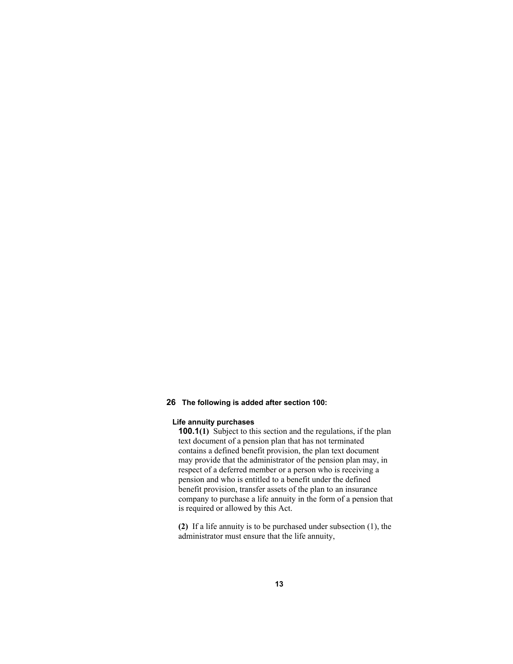# **26 The following is added after section 100:**

# **Life annuity purchases**

**100.1(1)** Subject to this section and the regulations, if the plan text document of a pension plan that has not terminated contains a defined benefit provision, the plan text document may provide that the administrator of the pension plan may, in respect of a deferred member or a person who is receiving a pension and who is entitled to a benefit under the defined benefit provision, transfer assets of the plan to an insurance company to purchase a life annuity in the form of a pension that is required or allowed by this Act.

**(2)** If a life annuity is to be purchased under subsection (1), the administrator must ensure that the life annuity,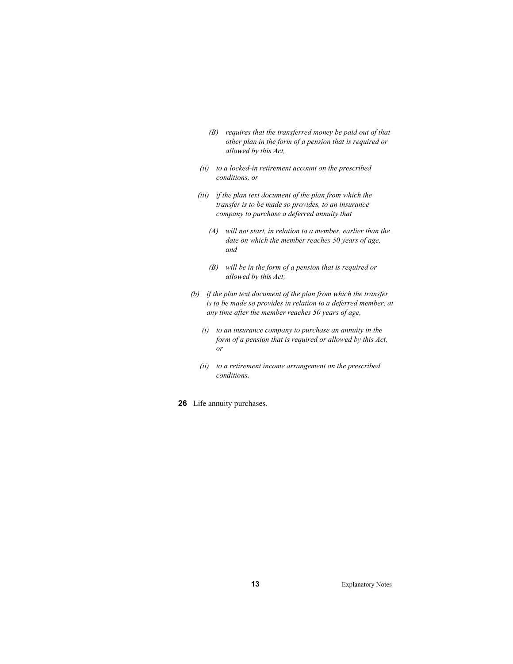- *(B) requires that the transferred money be paid out of that other plan in the form of a pension that is required or allowed by this Act,*
- *(ii) to a locked-in retirement account on the prescribed conditions, or*
- *(iii) if the plan text document of the plan from which the transfer is to be made so provides, to an insurance company to purchase a deferred annuity that* 
	- *(A) will not start, in relation to a member, earlier than the date on which the member reaches 50 years of age, and*
	- *(B) will be in the form of a pension that is required or allowed by this Act;*
- *(b) if the plan text document of the plan from which the transfer is to be made so provides in relation to a deferred member, at any time after the member reaches 50 years of age,* 
	- *(i) to an insurance company to purchase an annuity in the form of a pension that is required or allowed by this Act, or*
	- *(ii) to a retirement income arrangement on the prescribed conditions.*
- **26** Life annuity purchases.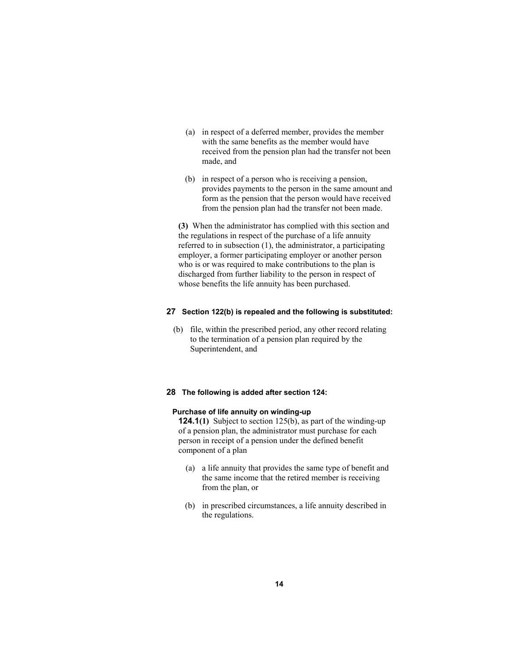- (a) in respect of a deferred member, provides the member with the same benefits as the member would have received from the pension plan had the transfer not been made, and
- (b) in respect of a person who is receiving a pension, provides payments to the person in the same amount and form as the pension that the person would have received from the pension plan had the transfer not been made.

**(3)** When the administrator has complied with this section and the regulations in respect of the purchase of a life annuity referred to in subsection (1), the administrator, a participating employer, a former participating employer or another person who is or was required to make contributions to the plan is discharged from further liability to the person in respect of whose benefits the life annuity has been purchased.

#### **27 Section 122(b) is repealed and the following is substituted:**

 (b) file, within the prescribed period, any other record relating to the termination of a pension plan required by the Superintendent, and

# **28 The following is added after section 124:**

# **Purchase of life annuity on winding-up**

**124.1(1)** Subject to section 125(b), as part of the winding-up of a pension plan, the administrator must purchase for each person in receipt of a pension under the defined benefit component of a plan

- (a) a life annuity that provides the same type of benefit and the same income that the retired member is receiving from the plan, or
- (b) in prescribed circumstances, a life annuity described in the regulations.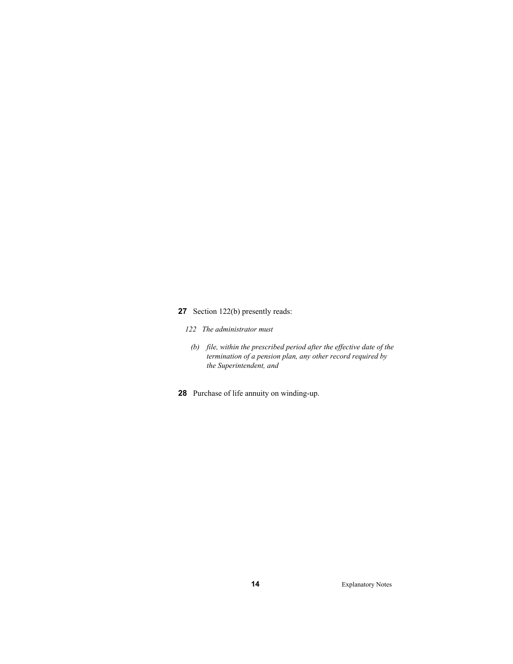# **27** Section 122(b) presently reads:

- *122 The administrator must*
- *(b) file, within the prescribed period after the effective date of the termination of a pension plan, any other record required by the Superintendent, and* 
	- **28** Purchase of life annuity on winding-up.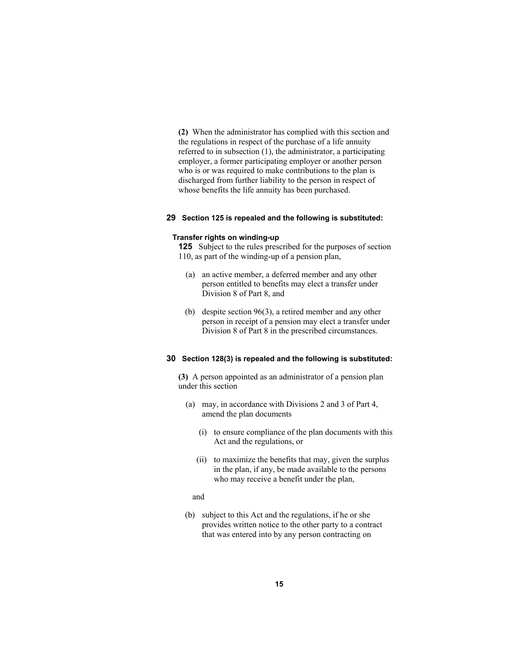**(2)** When the administrator has complied with this section and the regulations in respect of the purchase of a life annuity referred to in subsection (1), the administrator, a participating employer, a former participating employer or another person who is or was required to make contributions to the plan is discharged from further liability to the person in respect of whose benefits the life annuity has been purchased.

# **29 Section 125 is repealed and the following is substituted:**

#### **Transfer rights on winding-up**

**125** Subject to the rules prescribed for the purposes of section 110, as part of the winding-up of a pension plan,

- (a) an active member, a deferred member and any other person entitled to benefits may elect a transfer under Division 8 of Part 8, and
- (b) despite section 96(3), a retired member and any other person in receipt of a pension may elect a transfer under Division 8 of Part 8 in the prescribed circumstances.

# **30 Section 128(3) is repealed and the following is substituted:**

**(3)** A person appointed as an administrator of a pension plan under this section

- (a) may, in accordance with Divisions 2 and 3 of Part 4, amend the plan documents
	- (i) to ensure compliance of the plan documents with this Act and the regulations, or
	- (ii) to maximize the benefits that may, given the surplus in the plan, if any, be made available to the persons who may receive a benefit under the plan,

## and

 (b) subject to this Act and the regulations, if he or she provides written notice to the other party to a contract that was entered into by any person contracting on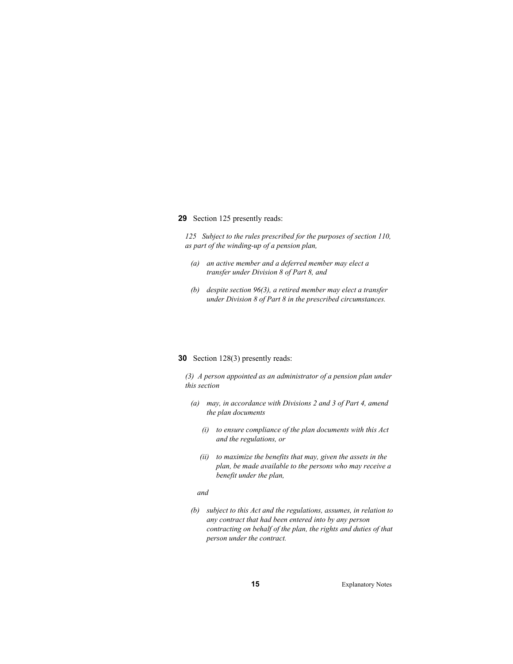#### **29** Section 125 presently reads:

*125 Subject to the rules prescribed for the purposes of section 110, as part of the winding-up of a pension plan,* 

- *(a) an active member and a deferred member may elect a transfer under Division 8 of Part 8, and*
- *(b) despite section 96(3), a retired member may elect a transfer under Division 8 of Part 8 in the prescribed circumstances.*

#### **30** Section 128(3) presently reads:

*(3) A person appointed as an administrator of a pension plan under this section* 

- *(a) may, in accordance with Divisions 2 and 3 of Part 4, amend the plan documents* 
	- *(i) to ensure compliance of the plan documents with this Act and the regulations, or*
	- *(ii) to maximize the benefits that may, given the assets in the plan, be made available to the persons who may receive a benefit under the plan,*

#### *and*

 *(b) subject to this Act and the regulations, assumes, in relation to any contract that had been entered into by any person contracting on behalf of the plan, the rights and duties of that person under the contract.*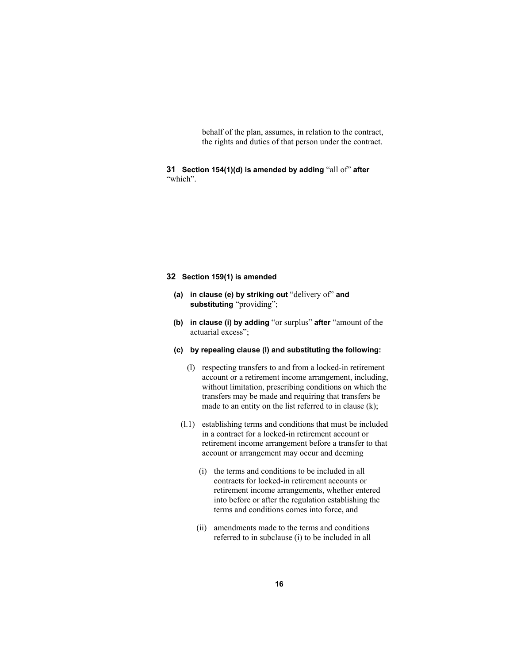behalf of the plan, assumes, in relation to the contract, the rights and duties of that person under the contract.

**31 Section 154(1)(d) is amended by adding** "all of" **after** "which".

# **32 Section 159(1) is amended**

- **(a) in clause (e) by striking out** "delivery of" **and substituting** "providing";
- **(b) in clause (i) by adding** "or surplus" **after** "amount of the actuarial excess";
- **(c) by repealing clause (l) and substituting the following:**
	- (l) respecting transfers to and from a locked-in retirement account or a retirement income arrangement, including, without limitation, prescribing conditions on which the transfers may be made and requiring that transfers be made to an entity on the list referred to in clause (k);
	- (l.1) establishing terms and conditions that must be included in a contract for a locked-in retirement account or retirement income arrangement before a transfer to that account or arrangement may occur and deeming
		- (i) the terms and conditions to be included in all contracts for locked-in retirement accounts or retirement income arrangements, whether entered into before or after the regulation establishing the terms and conditions comes into force, and
		- (ii) amendments made to the terms and conditions referred to in subclause (i) to be included in all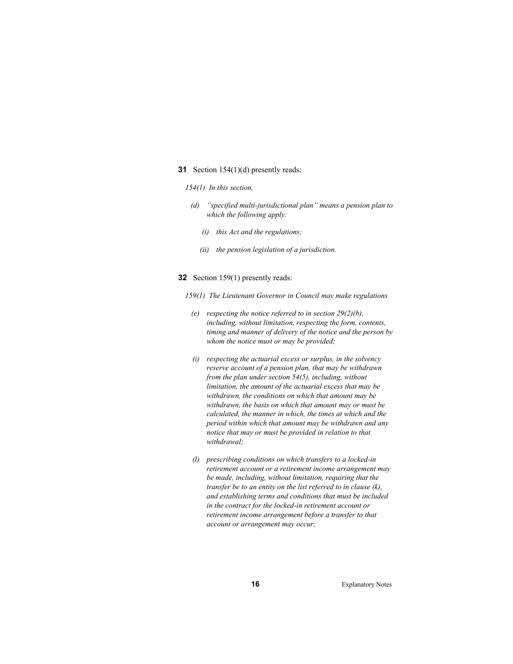- **31** Section 154(1)(d) presently reads:
	- *154(1) In this section,*
	- *(d) "specified multi-jurisdictional plan" means a pension plan to which the following apply:* 
		- *(i) this Act and the regulations;*
		- *(ii) the pension legislation of a jurisdiction.*
- **32** Section 159(1) presently reads:
	- *159(1) The Lieutenant Governor in Council may make regulations* 
		- *(e) respecting the notice referred to in section 29(2)(b), including, without limitation, respecting the form, contents, timing and manner of delivery of the notice and the person by whom the notice must or may be provided;*
		- *(i) respecting the actuarial excess or surplus, in the solvency reserve account of a pension plan, that may be withdrawn from the plan under section 54(5), including, without limitation, the amount of the actuarial excess that may be withdrawn, the conditions on which that amount may be withdrawn, the basis on which that amount may or must be calculated, the manner in which, the times at which and the period within which that amount may be withdrawn and any notice that may or must be provided in relation to that withdrawal;*
		- *(l) prescribing conditions on which transfers to a locked-in retirement account or a retirement income arrangement may be made, including, without limitation, requiring that the transfer be to an entity on the list referred to in clause (k), and establishing terms and conditions that must be included in the contract for the locked-in retirement account or retirement income arrangement before a transfer to that account or arrangement may occur;*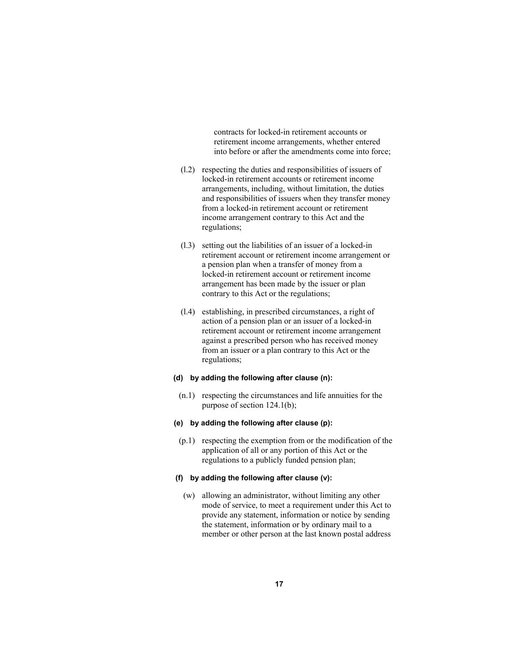contracts for locked-in retirement accounts or retirement income arrangements, whether entered into before or after the amendments come into force;

- (l.2) respecting the duties and responsibilities of issuers of locked-in retirement accounts or retirement income arrangements, including, without limitation, the duties and responsibilities of issuers when they transfer money from a locked-in retirement account or retirement income arrangement contrary to this Act and the regulations;
- (l.3) setting out the liabilities of an issuer of a locked-in retirement account or retirement income arrangement or a pension plan when a transfer of money from a locked-in retirement account or retirement income arrangement has been made by the issuer or plan contrary to this Act or the regulations;
- (l.4) establishing, in prescribed circumstances, a right of action of a pension plan or an issuer of a locked-in retirement account or retirement income arrangement against a prescribed person who has received money from an issuer or a plan contrary to this Act or the regulations;

# **(d) by adding the following after clause (n):**

 (n.1) respecting the circumstances and life annuities for the purpose of section 124.1(b);

#### **(e) by adding the following after clause (p):**

 (p.1) respecting the exemption from or the modification of the application of all or any portion of this Act or the regulations to a publicly funded pension plan;

#### **(f) by adding the following after clause (v):**

 (w) allowing an administrator, without limiting any other mode of service, to meet a requirement under this Act to provide any statement, information or notice by sending the statement, information or by ordinary mail to a member or other person at the last known postal address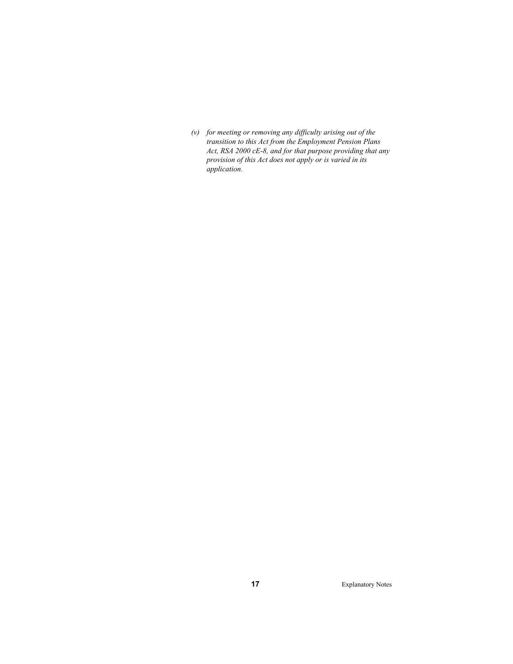*(v) for meeting or removing any difficulty arising out of the transition to this Act from the Employment Pension Plans Act, RSA 2000 cE-8, and for that purpose providing that any provision of this Act does not apply or is varied in its application.*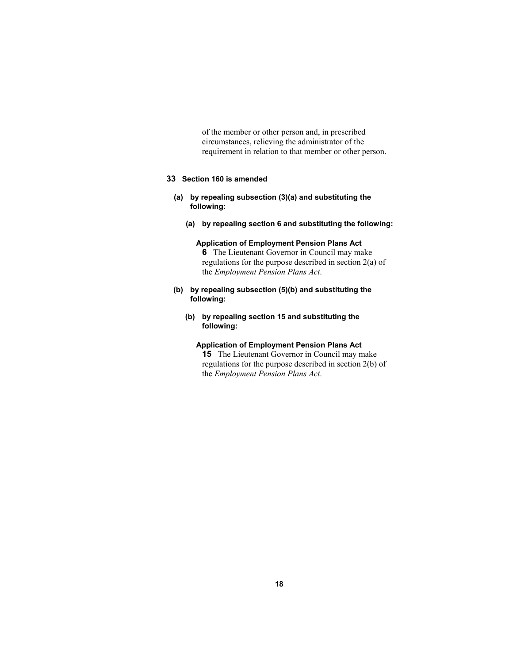of the member or other person and, in prescribed circumstances, relieving the administrator of the requirement in relation to that member or other person.

# **33 Section 160 is amended**

- **(a) by repealing subsection (3)(a) and substituting the following:**
	- **(a) by repealing section 6 and substituting the following:**

# **Application of Employment Pension Plans Act 6** The Lieutenant Governor in Council may make regulations for the purpose described in section 2(a) of the *Employment Pension Plans Act*.

- **(b) by repealing subsection (5)(b) and substituting the following:**
	- **(b) by repealing section 15 and substituting the following:**

# **Application of Employment Pension Plans Act 15** The Lieutenant Governor in Council may make regulations for the purpose described in section 2(b) of the *Employment Pension Plans Act*.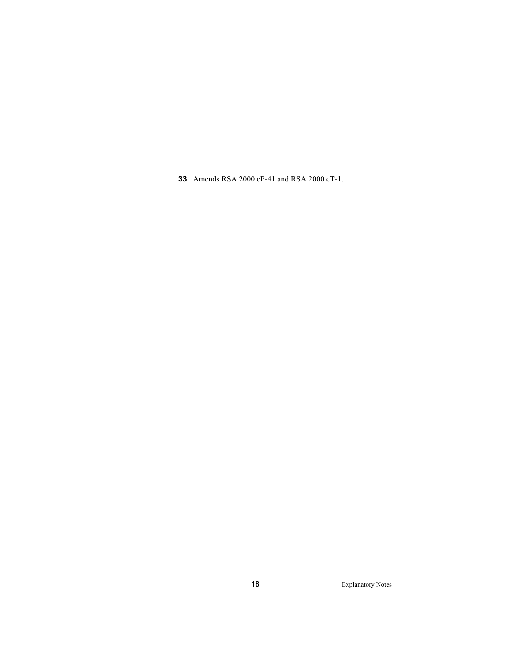Amends RSA 2000 cP-41 and RSA 2000 cT-1.